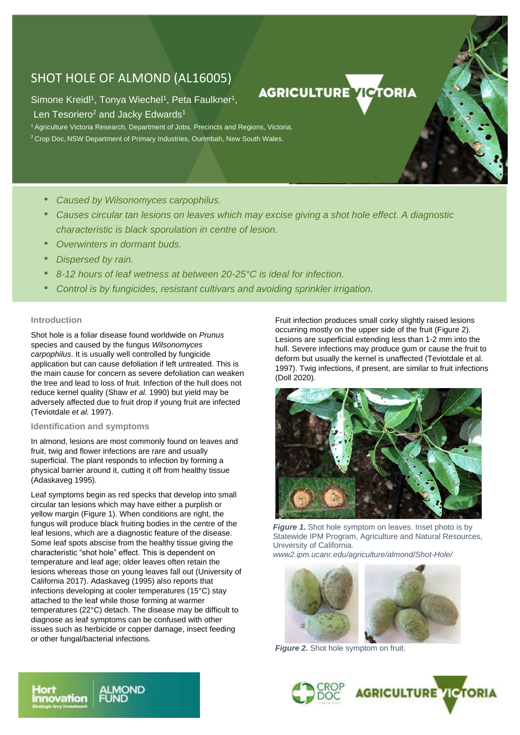# SHOT HOLE OF ALMOND (AL16005)

Simone Kreidl<sup>1</sup>, Tonya Wiechel<sup>1</sup>, Peta Faulkner<sup>1</sup>,

Len Tesoriero<sup>2</sup> and Jacky Edwards<sup>1</sup>

<sup>1</sup> Agriculture Victoria Research, Department of Jobs, Precincts and Regions, Victoria. <sup>2</sup> Crop Doc, NSW Department of Primary Industries, Ourimbah, New South Wales.

- *Caused by Wilsonomyces carpophilus.*
- *Causes circular tan lesions on leaves which may excise giving a shot hole effect. A diagnostic characteristic is black sporulation in centre of lesion.*
- *Overwinters in dormant buds.*
- *Dispersed by rain.*
- *8-12 hours of leaf wetness at between 20-25°C is ideal for infection.*
- *Control is by fungicides, resistant cultivars and avoiding sprinkler irrigation.*

## **Introduction**

•

Shot hole is a foliar disease found worldwide on *Prunus* species and caused by the fungus *Wilsonomyces carpophilus*. It is usually well controlled by fungicide application but can cause defoliation if left untreated. This is the main cause for concern as severe defoliation can weaken the tree and lead to loss of fruit. Infection of the hull does not reduce kernel quality (Shaw *et al.* 1990) but yield may be adversely affected due to fruit drop if young fruit are infected (Teviotdale *et al.* 1997).

## **Identification and symptoms**

In almond, lesions are most commonly found on leaves and fruit, twig and flower infections are rare and usually superficial. The plant responds to infection by forming a physical barrier around it, cutting it off from healthy tissue (Adaskaveg 1995).

Leaf symptoms begin as red specks that develop into small circular tan lesions which may have either a purplish or yellow margin (Figure 1). When conditions are right, the fungus will produce black fruiting bodies in the centre of the leaf lesions, which are a diagnostic feature of the disease. Some leaf spots abscise from the healthy tissue giving the characteristic "shot hole" effect. This is dependent on temperature and leaf age; older leaves often retain the lesions whereas those on young leaves fall out (University of California 2017). Adaskaveg (1995) also reports that infections developing at cooler temperatures (15°C) stay attached to the leaf while those forming at warmer temperatures (22°C) detach. The disease may be difficult to diagnose as leaf symptoms can be confused with other issues such as herbicide or copper damage, insect feeding or other fungal/bacterial infections.

Fruit infection produces small corky slightly raised lesions occurring mostly on the upper side of the fruit (Figure 2). Lesions are superficial extending less than 1-2 mm into the hull. Severe infections may produce gum or cause the fruit to deform but usually the kernel is unaffected (Teviotdale et al. 1997). Twig infections, if present, are similar to fruit infections (Doll 2020).

**AGRICULTURE VICTORIA** 



*Figure 1***.** Shot hole symptom on leaves. Inset photo is by Statewide IPM Program, Agriculture and Natural Resources, University of California.

*www2.ipm.ucanr.edu/agriculture/almond/Shot-Hole/*



*Figure 2***.** Shot hole symptom on fruit.